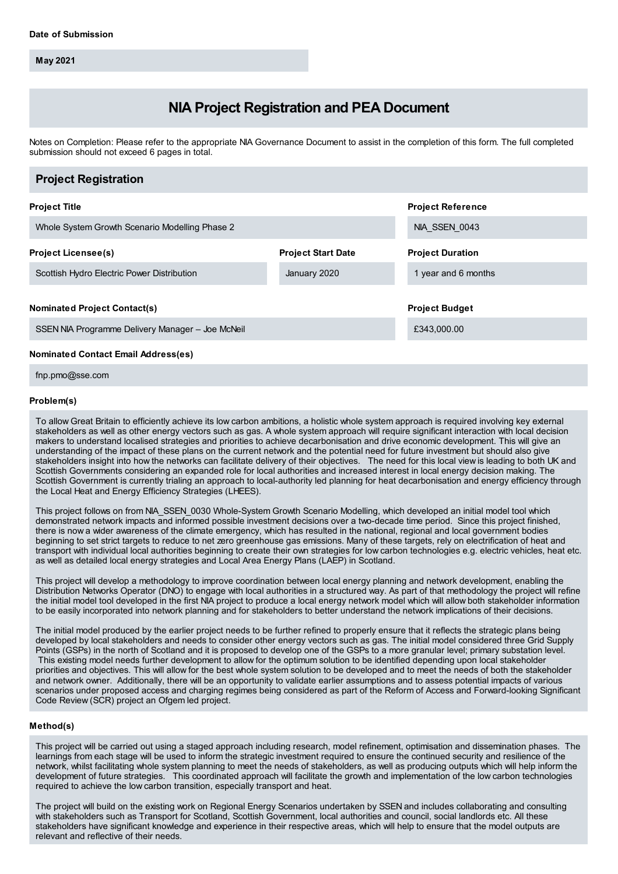**May 2021**

# **NIA Project Registration and PEA Document**

Notes on Completion: Please refer to the appropriate NIA Governance Document to assist in the completion of this form. The full completed submission should not exceed 6 pages in total.

## **Project Title** Whole System Growth Scenario Modelling Phase 2 **Project Reference** NIA\_SSEN\_0043 **Project Licensee(s)** Scottish Hydro Electric Power Distribution **Project Start Date** January 2020 **Project Duration** 1 year and 6 months **Nominated Project Contact(s)** SSEN NIA Programme Delivery Manager – Joe McNeil **Project Budget** £343,000.00 **Project Registration Nominated Contact Email Address(es)**

fnp.pmo@sse.com

## **Problem(s)**

To allowGreat Britain to efficiently achieve its low carbon ambitions, a holistic whole system approach is required involving key external stakeholders as well as other energy vectors such as gas. A whole system approach will require significant interaction with local decision makers to understand localised strategies and priorities to achieve decarbonisation and drive economic development. This will give an understanding of the impact of these plans on the current network and the potential need for future investment but should also give stakeholders insight into how the networks can facilitate delivery of their objectives. The need for this local view is leading to both UK and Scottish Governments considering an expanded role for local authorities and increased interest in local energy decision making. The Scottish Government is currently trialing an approach to local-authority led planning for heat decarbonisation and energy efficiency through the Local Heat and Energy Efficiency Strategies (LHEES).

This project follows on from NIA\_SSEN\_0030 Whole-System Growth Scenario Modelling, which developed an initial model tool which demonstrated network impacts and informed possible investment decisions over a two-decade time period. Since this project finished, there is now a wider awareness of the climate emergency, which has resulted in the national, regional and local government bodies beginning to set strict targets to reduce to net zero greenhouse gas emissions. Many of these targets, rely on electrification of heat and transport with individual local authorities beginning to create their own strategies for low carbon technologies e.g. electric vehicles, heat etc. as well as detailed local energy strategies and Local Area Energy Plans (LAEP) in Scotland.

This project will develop a methodology to improve coordination between local energy planning and network development, enabling the Distribution Networks Operator (DNO) to engage with local authorities in a structured way. As part of that methodology the project will refine the initial model tool developed in the first NIA project to produce a local energy network model which will allow both stakeholder information to be easily incorporated into network planning and for stakeholders to better understand the network implications of their decisions.

The initial model produced by the earlier project needs to be further refined to properly ensure that it reflects the strategic plans being developed by local stakeholders and needs to consider other energy vectors such as gas. The initial model considered three Grid Supply Points (GSPs) in the north of Scotland and it is proposed to develop one of the GSPs to a more granular level; primary substation level. This existing model needs further development to allow for the optimum solution to be identified depending upon local stakeholder priorities and objectives. This will allow for the best whole system solution to be developed and to meet the needs of both the stakeholder and network owner. Additionally, there will be an opportunity to validate earlier assumptions and to assess potential impacts of various scenarios under proposed access and charging regimes being considered as part of the Reform of Access and Forward-looking Significant Code Review (SCR) project an Ofgem led project.

## **Method(s)**

This project will be carried out using a staged approach including research, model refinement, optimisation and dissemination phases. The learnings from each stage will be used to inform the strategic investment required to ensure the continued security and resilience of the network, whilst facilitating whole system planning to meet the needs of stakeholders, as well as producing outputs which will help inform the development of future strategies. This coordinated approach will facilitate the growth and implementation of the low carbon technologies required to achieve the low carbon transition, especially transport and heat.

The project will build on the existing work on Regional Energy Scenarios undertaken by SSEN and includes collaborating and consulting with stakeholders such as Transport for Scotland, Scottish Government, local authorities and council, social landlords etc. All these stakeholders have significant knowledge and experience in their respective areas, which will help to ensure that the model outputs are relevant and reflective of their needs.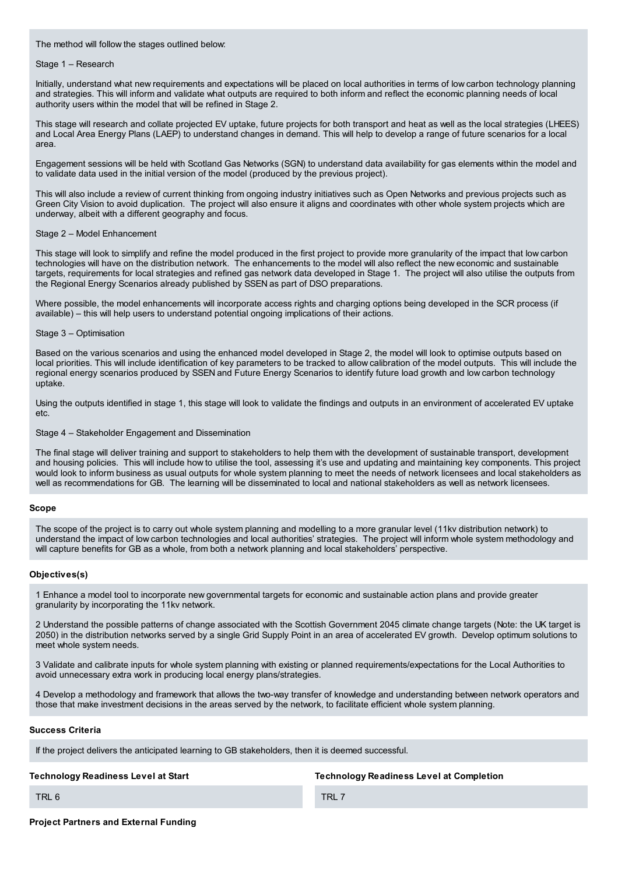The method will follow the stages outlined below:

## Stage 1 – Research

Initially, understand what new requirements and expectations will be placed on local authorities in terms of low carbon technology planning and strategies. This will inform and validate what outputs are required to both inform and reflect the economic planning needs of local authority users within the model that will be refined in Stage 2.

This stage will research and collate projected EV uptake, future projects for both transport and heat as well as the local strategies (LHEES) and Local Area Energy Plans (LAEP) to understand changes in demand. This will help to develop a range of future scenarios for a local area.

Engagement sessions will be held with Scotland Gas Networks (SGN) to understand data availability for gas elements within the model and to validate data used in the initial version of the model (produced by the previous project).

This will also include a review of current thinking from ongoing industry initiatives such as Open Networks and previous projects such as Green City Vision to avoid duplication. The project will also ensure it aligns and coordinates with other whole system projects which are underway, albeit with a different geography and focus.

## Stage 2 – Model Enhancement

This stage will look to simplify and refine the model produced in the first project to provide more granularity of the impact that low carbon technologies will have on the distribution network. The enhancements to the model will also reflect the new economic and sustainable targets, requirements for local strategies and refined gas network data developed in Stage 1. The project will also utilise the outputs from the Regional Energy Scenarios already published by SSEN as part of DSO preparations.

Where possible, the model enhancements will incorporate access rights and charging options being developed in the SCR process (if available) – this will help users to understand potential ongoing implications of their actions.

## Stage 3 – Optimisation

Based on the various scenarios and using the enhanced model developed in Stage 2, the model will look to optimise outputs based on local priorities. This will include identification of key parameters to be tracked to allow calibration of the model outputs. This will include the regional energy scenarios produced by SSEN and Future Energy Scenarios to identify future load growth and low carbon technology uptake.

Using the outputs identified in stage 1, this stage will look to validate the findings and outputs in an environment of accelerated EV uptake etc.

#### Stage 4 – Stakeholder Engagement and Dissemination

The final stage will deliver training and support to stakeholders to help them with the development of sustainable transport, development and housing policies. This will include how to utilise the tool, assessing it's use and updating and maintaining key components. This project would look to inform business as usual outputs for whole system planning to meet the needs of network licensees and local stakeholders as well as recommendations for GB. The learning will be disseminated to local and national stakeholders as well as network licensees.

## **Scope**

The scope of the project is to carry out whole system planning and modelling to a more granular level (11kv distribution network) to understand the impact of low carbon technologies and local authorities' strategies. The project will inform whole system methodology and will capture benefits for GB as a whole, from both a network planning and local stakeholders' perspective.

## **Objectives(s)**

1 Enhance a model tool to incorporate new governmental targets for economic and sustainable action plans and provide greater granularity by incorporating the 11kv network.

2 Understand the possible patterns of change associated with the Scottish Government 2045 climate change targets (Note: the UK target is 2050) in the distribution networks served by a single Grid Supply Point in an area of accelerated EV growth. Develop optimum solutions to meet whole system needs.

3 Validate and calibrate inputs for whole system planning with existing or planned requirements/expectations for the Local Authorities to avoid unnecessary extra work in producing local energy plans/strategies.

4 Develop a methodology and framework that allows the two-way transfer of knowledge and understanding between network operators and those that make investment decisions in the areas served by the network, to facilitate efficient whole system planning.

#### **Success Criteria**

If the project delivers the anticipated learning to GB stakeholders, then it is deemed successful.

## **Technology Readiness Level at Start**

**Technology Readiness Level at Completion**

TRL 6

TRL 7

## **Project Partners and External Funding**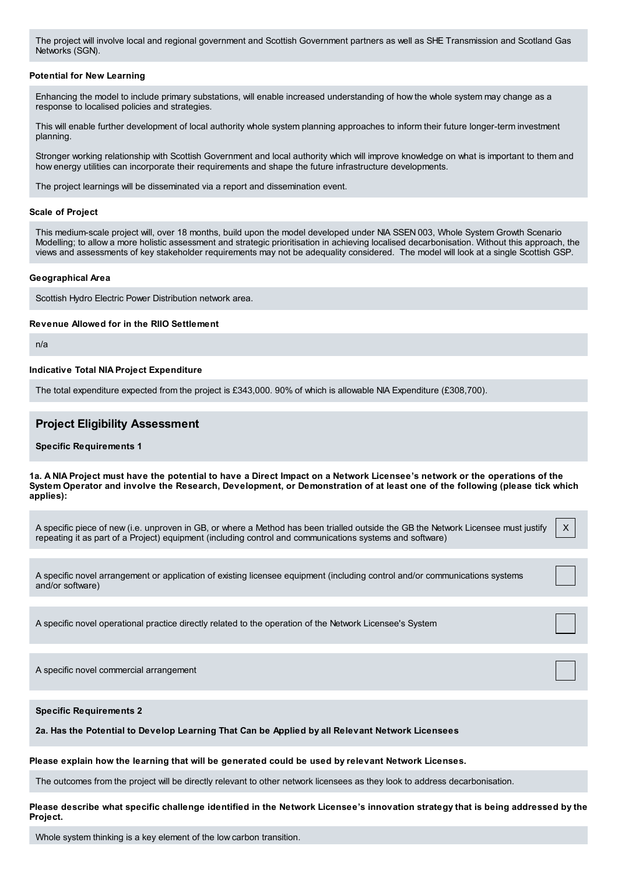The project will involve local and regional government and Scottish Government partners as well as SHE Transmission and Scotland Gas Networks (SGN).

#### **Potential for New Learning**

Enhancing the model to include primary substations, will enable increased understanding of how the whole system may change as a response to localised policies and strategies.

This will enable further development of local authority whole system planning approaches to inform their future longer-term investment planning.

Stronger working relationship with Scottish Government and local authority which will improve knowledge on what is important to them and how energy utilities can incorporate their requirements and shape the future infrastructure developments.

The project learnings will be disseminated via a report and dissemination event.

#### **Scale of Project**

This medium-scale project will, over 18 months, build upon the model developed under NIA SSEN 003, Whole System Growth Scenario Modelling; to allow a more holistic assessment and strategic prioritisation in achieving localised decarbonisation. Without this approach, the views and assessments of key stakeholder requirements may not be adequality considered. The model will look at a single Scottish GSP.

#### **Geographical Area**

Scottish Hydro Electric Power Distribution network area.

#### **Revenue Allowed for in the RIIO Settlement**

n/a

## **Indicative Total NIA Project Expenditure**

The total expenditure expected from the project is £343,000. 90% of which is allowable NIA Expenditure (£308,700).

## **Project Eligibility Assessment**

**Specific Requirements 1**

1a. A NIA Project must have the potential to have a Direct Impact on a Network Licensee's network or the operations of the System Operator and involve the Research, Development, or Demonstration of at least one of the following (please tick which **applies):**

A specific piece of new (i.e. unproven in GB, or where a Method has been trialled outside the GB the Network Licensee must justify repeating it as part of a Project) equipment (including control and communications systems and software) X

A specific novel arrangement or application of existing licensee equipment (including control and/or communications systems and/or software)

A specific novel operational practice directly related to the operation of the Network Licensee's System

A specific novel commercial arrangement

**Specific Requirements 2**

**2a. Has the Potential to Develop Learning That Can be Applied by all Relevant Network Licensees**

**Please explain how the learning that will be generated could be used by relevant Network Licenses.**

The outcomes from the project will be directly relevant to other network licensees as they look to address decarbonisation.

Please describe what specific challenge identified in the Network Licensee's innovation strategy that is being addressed by the **Project.**

Whole system thinking is a key element of the low carbon transition.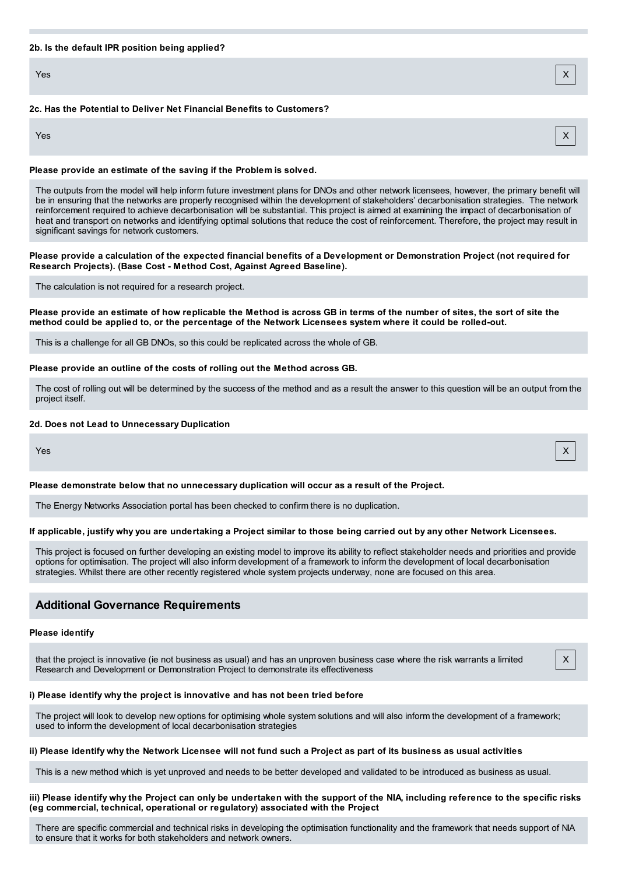#### **2b. Is the default IPR position being applied?**

Yes X

## **2c. Has the Potential to Deliver Net Financial Benefits to Customers?**

Yes X

## **Please provide an estimate of the saving if the Problem is solved.**

The outputs from the model will help inform future investment plans for DNOs and other network licensees, however, the primary benefit will be in ensuring that the networks are properly recognised within the development of stakeholders' decarbonisation strategies. The network reinforcement required to achieve decarbonisation will be substantial. This project is aimed at examining the impact of decarbonisation of heat and transport on networks and identifying optimal solutions that reduce the cost of reinforcement. Therefore, the project may result in significant savings for network customers.

Please provide a calculation of the expected financial benefits of a Development or Demonstration Project (not required for **Research Projects). (Base Cost - Method Cost, Against Agreed Baseline).**

The calculation is not required for a research project.

Please provide an estimate of how replicable the Method is across GB in terms of the number of sites, the sort of site the method could be applied to, or the percentage of the Network Licensees system where it could be rolled-out.

This is a challenge for all GB DNOs, so this could be replicated across the whole of GB.

#### **Please provide an outline of the costs of rolling out the Method across GB.**

The cost of rolling out will be determined by the success of the method and as a result the answer to this question will be an output from the project itself.

#### **2d. Does not Lead to Unnecessary Duplication**

#### **Please demonstrate below that no unnecessary duplication will occur as a result of the Project.**

The Energy Networks Association portal has been checked to confirm there is no duplication.

#### If applicable, justify why you are undertaking a Project similar to those being carried out by any other Network Licensees.

This project is focused on further developing an existing model to improve its ability to reflect stakeholder needs and priorities and provide options for optimisation. The project will also inform development of a framework to inform the development of local decarbonisation strategies. Whilst there are other recently registered whole system projects underway, none are focused on this area.

## **Additional Governance Requirements**

## **Please identify**

that the project is innovative (ie not business as usual) and has an unproven business case where the risk warrants a limited Research and Development or Demonstration Project to demonstrate its effectiveness

#### **i) Please identify why the project is innovative and has not been tried before**

The project will look to develop new options for optimising whole system solutions and will also inform the development of a framework; used to inform the development of local decarbonisation strategies

#### ii) Please identify why the Network Licensee will not fund such a Project as part of its business as usual activities

This is a new method which is yet unproved and needs to be better developed and validated to be introduced as business as usual.

#### iii) Please identify why the Project can only be undertaken with the support of the NIA, including reference to the specific risks **(eg commercial, technical, operational or regulatory) associated with the Project**

There are specific commercial and technical risks in developing the optimisation functionality and the framework that needs support of NIA to ensure that it works for both stakeholders and network owners.

## Yes X

X